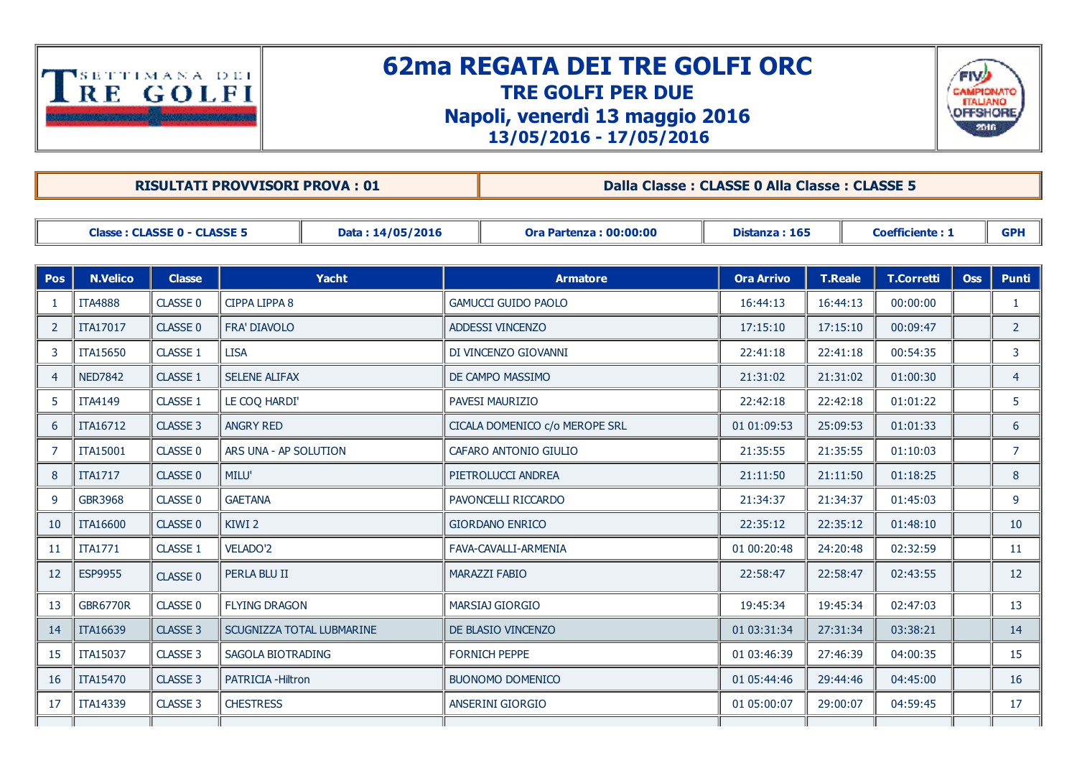

## 62ma REGATA DEI TRE GOLFI ORC TRE GOLFI PER DUE Napoli, venerdì 13 maggio 2016 13/05/2016 17/05/2016



RISULTATI PROVVISORI PROVA : 01 Dalla Classe : CLASSE 0 Alla Classe : CLASSE 5

| <b>Classe: CLASSE 0 - CLASSE 5</b><br>Data: 14/05/2016 |                 |                 | <b>Ora Partenza: 00:00:00</b><br>Distanza: 165 |  |                 | <b>Coefficiente: 1</b>         |                   |                | <b>GPH</b>        |            |                 |
|--------------------------------------------------------|-----------------|-----------------|------------------------------------------------|--|-----------------|--------------------------------|-------------------|----------------|-------------------|------------|-----------------|
|                                                        |                 |                 |                                                |  |                 |                                |                   |                |                   |            |                 |
| <b>Pos</b>                                             | <b>N.Velico</b> | <b>Classe</b>   | <b>Yacht</b>                                   |  | <b>Armatore</b> |                                | <b>Ora Arrivo</b> | <b>T.Reale</b> | <b>T.Corretti</b> | <b>Oss</b> | <b>Punti</b>    |
| -1                                                     | <b>ITA4888</b>  | CLASSE 0        | CIPPA LIPPA 8                                  |  |                 | <b>GAMUCCI GUIDO PAOLO</b>     | 16:44:13          | 16:44:13       | 00:00:00          |            | -1              |
| $\overline{2}$                                         | <b>ITA17017</b> | <b>CLASSE 0</b> | <b>FRA' DIAVOLO</b>                            |  |                 | <b>ADDESSI VINCENZO</b>        | 17:15:10          | 17:15:10       | 00:09:47          |            | $\overline{2}$  |
| 3                                                      | <b>ITA15650</b> | CLASSE 1        | <b>LISA</b>                                    |  |                 | DI VINCENZO GIOVANNI           | 22:41:18          | 22:41:18       | 00:54:35          |            | 3               |
| $\overline{4}$                                         | <b>NED7842</b>  | <b>CLASSE 1</b> | <b>SELENE ALIFAX</b>                           |  |                 | DE CAMPO MASSIMO               | 21:31:02          | 21:31:02       | 01:00:30          |            | $\overline{4}$  |
| 5                                                      | <b>ITA4149</b>  | CLASSE 1        | LE COQ HARDI'                                  |  |                 | <b>PAVESI MAURIZIO</b>         | 22:42:18          | 22:42:18       | 01:01:22          |            | 5.              |
| 6                                                      | <b>ITA16712</b> | CLASSE 3        | <b>ANGRY RED</b>                               |  |                 | CICALA DOMENICO c/o MEROPE SRL | 01 01:09:53       | 25:09:53       | 01:01:33          |            | 6               |
| $\overline{7}$                                         | <b>ITA15001</b> | CLASSE 0        | ARS UNA - AP SOLUTION                          |  |                 | CAFARO ANTONIO GIULIO          | 21:35:55          | 21:35:55       | 01:10:03          |            | $\overline{7}$  |
| 8                                                      | <b>ITA1717</b>  | CLASSE 0        | MILU'                                          |  |                 | PIETROLUCCI ANDREA             | 21:11:50          | 21:11:50       | 01:18:25          |            | 8               |
| 9                                                      | GBR3968         | CLASSE 0        | <b>GAETANA</b>                                 |  |                 | PAVONCELLI RICCARDO            | 21:34:37          | 21:34:37       | 01:45:03          |            | 9               |
| 10                                                     | <b>ITA16600</b> | CLASSE 0        | KIWI 2                                         |  |                 | <b>GIORDANO ENRICO</b>         | 22:35:12          | 22:35:12       | 01:48:10          |            | 10              |
| 11                                                     | <b>ITA1771</b>  | CLASSE 1        | <b>VELADO'2</b>                                |  |                 | FAVA-CAVALLI-ARMENIA           | 01 00:20:48       | 24:20:48       | 02:32:59          |            | 11              |
| 12                                                     | <b>ESP9955</b>  | CLASSE 0        | PERLA BLU II                                   |  |                 | <b>MARAZZI FABIO</b>           | 22:58:47          | 22:58:47       | 02:43:55          |            | 12 <sup>2</sup> |
| 13                                                     | <b>GBR6770R</b> | CLASSE 0        | <b>FLYING DRAGON</b>                           |  |                 | <b>MARSIAJ GIORGIO</b>         | 19:45:34          | 19:45:34       | 02:47:03          |            | 13              |
| 14                                                     | <b>ITA16639</b> | CLASSE 3        | SCUGNIZZA TOTAL LUBMARINE                      |  |                 | DE BLASIO VINCENZO             | 01 03:31:34       | 27:31:34       | 03:38:21          |            | 14              |
| 15                                                     | <b>ITA15037</b> | CLASSE 3        | SAGOLA BIOTRADING                              |  |                 | <b>FORNICH PEPPE</b>           | 01 03:46:39       | 27:46:39       | 04:00:35          |            | 15              |
| 16                                                     | <b>ITA15470</b> | CLASSE 3        | PATRICIA - Hiltron                             |  |                 | <b>BUONOMO DOMENICO</b>        | 01 05:44:46       | 29:44:46       | 04:45:00          |            | 16              |
| 17                                                     | ITA14339        | CLASSE 3        | <b>CHESTRESS</b>                               |  |                 | ANSERINI GIORGIO               | 01 05:00:07       | 29:00:07       | 04:59:45          |            | 17              |
|                                                        |                 |                 |                                                |  |                 |                                |                   |                |                   |            |                 |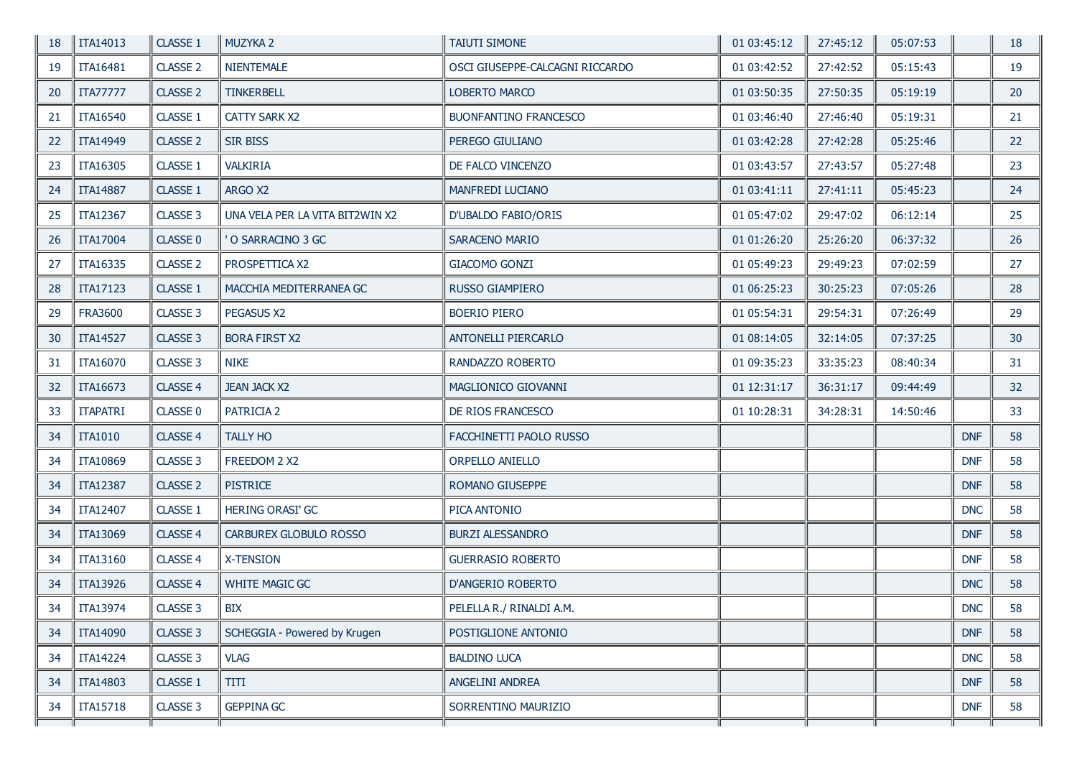| 18 | TTA14013        | CLASSE 1            | MUZYKA <sub>2</sub>             | <b>TAIUTI SIMONE</b>            | 01 03:45:12 | 27:45:12 | 05:07:53 |            | 18 |
|----|-----------------|---------------------|---------------------------------|---------------------------------|-------------|----------|----------|------------|----|
| 19 | <b>ITA16481</b> | CLASSE <sub>2</sub> | <b>NIENTEMALE</b>               | OSCI GIUSEPPE-CALCAGNI RICCARDO | 01 03:42:52 | 27:42:52 | 05:15:43 |            | 19 |
| 20 | <b>ITA77777</b> | <b>CLASSE 2</b>     | <b>TINKERBELL</b>               | <b>LOBERTO MARCO</b>            | 01 03:50:35 | 27:50:35 | 05:19:19 |            | 20 |
| 21 | <b>ITA16540</b> | CLASSE 1            | CATTY SARK X2                   | <b>BUONFANTINO FRANCESCO</b>    | 01 03:46:40 | 27:46:40 | 05:19:31 |            | 21 |
| 22 | <b>ITA14949</b> | <b>CLASSE 2</b>     | <b>SIR BISS</b>                 | PEREGO GIULIANO                 | 01 03:42:28 | 27:42:28 | 05:25:46 |            | 22 |
| 23 | ITA16305        | CLASSE 1            | <b>VALKIRIA</b>                 | DE FALCO VINCENZO               | 01 03:43:57 | 27:43:57 | 05:27:48 |            | 23 |
| 24 | <b>ITA14887</b> | <b>CLASSE 1</b>     | ARGO X2                         | MANFREDI LUCIANO                | 01 03:41:11 | 27:41:11 | 05:45:23 |            | 24 |
| 25 | <b>ITA12367</b> | CLASSE 3            | UNA VELA PER LA VITA BIT2WIN X2 | D'UBALDO FABIO/ORIS             | 01 05:47:02 | 29:47:02 | 06:12:14 |            | 25 |
| 26 | <b>ITA17004</b> | CLASSE 0            | O SARRACINO 3 GC                | SARACENO MARIO                  | 01 01:26:20 | 25:26:20 | 06:37:32 |            | 26 |
| 27 | ITA16335        | <b>CLASSE 2</b>     | PROSPETTICA X2                  | <b>GIACOMO GONZI</b>            | 01 05:49:23 | 29:49:23 | 07:02:59 |            | 27 |
| 28 | <b>ITA17123</b> | <b>CLASSE 1</b>     | MACCHIA MEDITERRANEA GC         | RUSSO GIAMPIERO                 | 01 06:25:23 | 30:25:23 | 07:05:26 |            | 28 |
| 29 | <b>FRA3600</b>  | CLASSE 3            | PEGASUS X2                      | <b>BOERIO PIERO</b>             | 01 05:54:31 | 29:54:31 | 07:26:49 |            | 29 |
| 30 | <b>ITA14527</b> | CLASSE 3            | <b>BORA FIRST X2</b>            | <b>ANTONELLI PIERCARLO</b>      | 01 08:14:05 | 32:14:05 | 07:37:25 |            | 30 |
| 31 | ITA16070        | CLASSE 3            | <b>NIKE</b>                     | RANDAZZO ROBERTO                | 01 09:35:23 | 33:35:23 | 08:40:34 |            | 31 |
| 32 | ITA16673        | <b>CLASSE 4</b>     | <b>JEAN JACK X2</b>             | MAGLIONICO GIOVANNI             | 01 12:31:17 | 36:31:17 | 09:44:49 |            | 32 |
| 33 | <b>ITAPATRI</b> | CLASSE 0            | PATRICIA 2                      | DE RIOS FRANCESCO               | 01 10:28:31 | 34:28:31 | 14:50:46 |            | 33 |
| 34 | <b>ITA1010</b>  | <b>CLASSE 4</b>     | <b>TALLY HO</b>                 | FACCHINETTI PAOLO RUSSO         |             |          |          | <b>DNF</b> | 58 |
| 34 | <b>ITA10869</b> | CLASSE 3            | FREEDOM 2 X2                    | ORPELLO ANIELLO                 |             |          |          | <b>DNF</b> | 58 |
| 34 | <b>ITA12387</b> | <b>CLASSE 2</b>     | <b>PISTRICE</b>                 | ROMANO GIUSEPPE                 |             |          |          | <b>DNF</b> | 58 |
| 34 | <b>ITA12407</b> | CLASSE 1            | HERING ORASI' GC                | PICA ANTONIO                    |             |          |          | <b>DNC</b> | 58 |
| 34 | ITA13069        | <b>CLASSE 4</b>     | CARBUREX GLOBULO ROSSO          | <b>BURZI ALESSANDRO</b>         |             |          |          | <b>DNF</b> | 58 |
| 34 | <b>ITA13160</b> | <b>CLASSE 4</b>     | <b>X-TENSION</b>                | <b>GUERRASIO ROBERTO</b>        |             |          |          | <b>DNF</b> | 58 |
| 34 | <b>ITA13926</b> | <b>CLASSE 4</b>     | <b>WHITE MAGIC GC</b>           | D'ANGERIO ROBERTO               |             |          |          | <b>DNC</b> | 58 |
| 34 | TTA13974        | CLASSE 3            | <b>BIX</b>                      | PELELLA R./ RINALDI A.M.        |             |          |          | <b>DNC</b> | 58 |
| 34 | ITA14090        | CLASSE 3            | SCHEGGIA - Powered by Krugen    | POSTIGLIONE ANTONIO             |             |          |          | <b>DNF</b> | 58 |
| 34 | <b>ITA14224</b> | CLASSE 3            | <b>VLAG</b>                     | <b>BALDINO LUCA</b>             |             |          |          | <b>DNC</b> | 58 |
| 34 | <b>ITA14803</b> | CLASSE 1            | TITI                            | ANGELINI ANDREA                 |             |          |          | <b>DNF</b> | 58 |
| 34 | TTA15718        | CLASSE 3            | <b>GEPPINA GC</b>               | SORRENTINO MAURIZIO             |             |          |          | <b>DNF</b> | 58 |
|    |                 |                     |                                 |                                 |             |          |          |            |    |